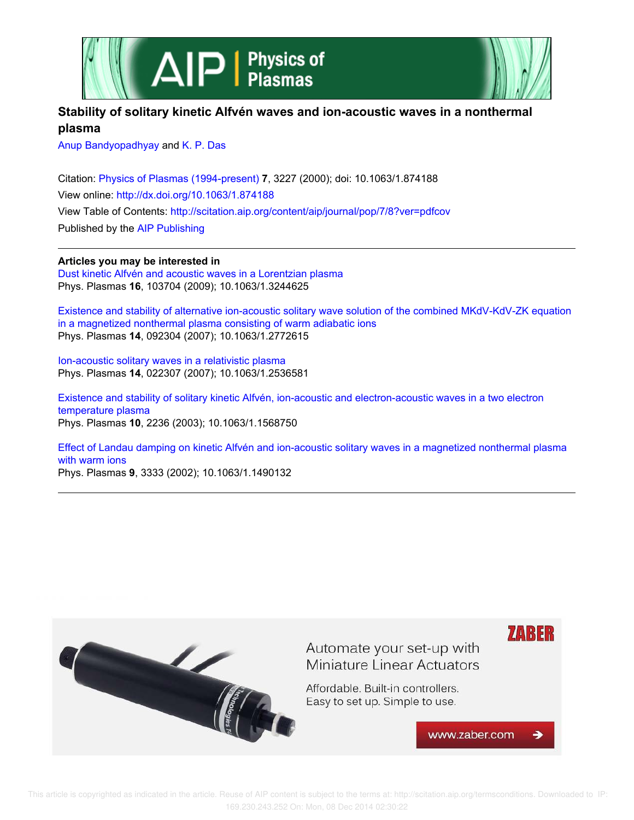



# **Stability of solitary kinetic Alfvén waves and ion-acoustic waves in a nonthermal plasma**

Anup Bandyopadhyay and K. P. Das

Citation: Physics of Plasmas (1994-present) **7**, 3227 (2000); doi: 10.1063/1.874188 View online: http://dx.doi.org/10.1063/1.874188 View Table of Contents: http://scitation.aip.org/content/aip/journal/pop/7/8?ver=pdfcov Published by the AIP Publishing

**Articles you may be interested in**

Dust kinetic Alfvén and acoustic waves in a Lorentzian plasma Phys. Plasmas **16**, 103704 (2009); 10.1063/1.3244625

Existence and stability of alternative ion-acoustic solitary wave solution of the combined MKdV-KdV-ZK equation in a magnetized nonthermal plasma consisting of warm adiabatic ions Phys. Plasmas **14**, 092304 (2007); 10.1063/1.2772615

Ion-acoustic solitary waves in a relativistic plasma Phys. Plasmas **14**, 022307 (2007); 10.1063/1.2536581

Existence and stability of solitary kinetic Alfvén, ion-acoustic and electron-acoustic waves in a two electron temperature plasma Phys. Plasmas **10**, 2236 (2003); 10.1063/1.1568750

Effect of Landau damping on kinetic Alfvén and ion-acoustic solitary waves in a magnetized nonthermal plasma with warm ions Phys. Plasmas **9**, 3333 (2002); 10.1063/1.1490132

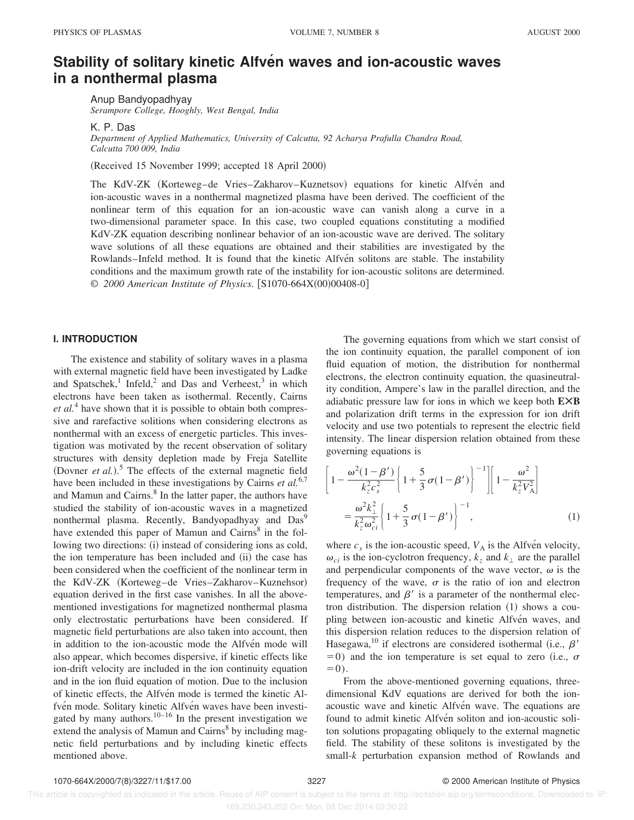# **Stability of solitary kinetic Alfven waves and ion-acoustic waves in a nonthermal plasma**

Anup Bandyopadhyay *Serampore College, Hooghly, West Bengal, India*

K. P. Das

*Department of Applied Mathematics, University of Calcutta, 92 Acharya Prafulla Chandra Road, Calcutta 700 009, India*

(Received 15 November 1999; accepted 18 April 2000)

The KdV-ZK (Korteweg–de Vries–Zakharov–Kuznetsov) equations for kinetic Alfvén and ion-acoustic waves in a nonthermal magnetized plasma have been derived. The coefficient of the nonlinear term of this equation for an ion-acoustic wave can vanish along a curve in a two-dimensional parameter space. In this case, two coupled equations constituting a modified KdV-ZK equation describing nonlinear behavior of an ion-acoustic wave are derived. The solitary wave solutions of all these equations are obtained and their stabilities are investigated by the Rowlands–Infeld method. It is found that the kinetic Alfven solitons are stable. The instability conditions and the maximum growth rate of the instability for ion-acoustic solitons are determined. © 2000 American Institute of Physics. [S1070-664X(00)00408-0]

## **I. INTRODUCTION**

The existence and stability of solitary waves in a plasma with external magnetic field have been investigated by Ladke and Spatschek,<sup>1</sup> Infeld,<sup>2</sup> and Das and Verheest,<sup>3</sup> in which electrons have been taken as isothermal. Recently, Cairns *et al.*<sup>4</sup> have shown that it is possible to obtain both compressive and rarefactive solitions when considering electrons as nonthermal with an excess of energetic particles. This investigation was motivated by the recent observation of solitary structures with density depletion made by Freja Satellite (Dovner *et al.*).<sup>5</sup> The effects of the external magnetic field have been included in these investigations by Cairns *et al.*6,7 and Mamun and Cairns.<sup>8</sup> In the latter paper, the authors have studied the stability of ion-acoustic waves in a magnetized nonthermal plasma. Recently, Bandyopadhyay and Das<sup>9</sup> have extended this paper of Mamun and Cairns<sup>8</sup> in the following two directions: (i) instead of considering ions as cold, the ion temperature has been included and (ii) the case has been considered when the coefficient of the nonlinear term in the KdV-ZK (Korteweg–de Vries–Zakharov–Kuznehsor) equation derived in the first case vanishes. In all the abovementioned investigations for magnetized nonthermal plasma only electrostatic perturbations have been considered. If magnetic field perturbations are also taken into account, then in addition to the ion-acoustic mode the Alfven mode will also appear, which becomes dispersive, if kinetic effects like ion-drift velocity are included in the ion continuity equation and in the ion fluid equation of motion. Due to the inclusion of kinetic effects, the Alfvén mode is termed the kinetic Alfvén mode. Solitary kinetic Alfvén waves have been investigated by many authors.<sup>10–16</sup> In the present investigation we extend the analysis of Mamun and Cairns<sup>8</sup> by including magnetic field perturbations and by including kinetic effects mentioned above.

The governing equations from which we start consist of the ion continuity equation, the parallel component of ion fluid equation of motion, the distribution for nonthermal electrons, the electron continuity equation, the quasineutrality condition, Ampere's law in the parallel direction, and the adiabatic pressure law for ions in which we keep both **EÃB** and polarization drift terms in the expression for ion drift velocity and use two potentials to represent the electric field intensity. The linear dispersion relation obtained from these governing equations is

$$
\left[1 - \frac{\omega^2 (1 - \beta')}{k_z^2 c_s^2} \left\{1 + \frac{5}{3} \sigma (1 - \beta')\right\}^{-1}\right] \left[1 - \frac{\omega^2}{k_z^2 V_A^2}\right]
$$

$$
= \frac{\omega^2 k_{\perp}^2}{k_z^2 \omega_{ci}^2} \left\{1 + \frac{5}{3} \sigma (1 - \beta')\right\}^{-1},
$$
(1)

where  $c_s$  is the ion-acoustic speed,  $V_A$  is the Alfven velocity,  $\omega_{ci}$  is the ion-cyclotron frequency,  $k_z$  and  $k_\perp$  are the parallel and perpendicular components of the wave vector,  $\omega$  is the frequency of the wave,  $\sigma$  is the ratio of ion and electron temperatures, and  $\beta'$  is a parameter of the nonthermal electron distribution. The dispersion relation  $(1)$  shows a coupling between ion-acoustic and kinetic Alfvén waves, and this dispersion relation reduces to the dispersion relation of Hasegawa,<sup>10</sup> if electrons are considered isothermal (i.e.,  $\beta'$ )  $=0$ ) and the ion temperature is set equal to zero (i.e.,  $\sigma$  $=0$ ).

From the above-mentioned governing equations, threedimensional KdV equations are derived for both the ionacoustic wave and kinetic Alfvén wave. The equations are found to admit kinetic Alfvén soliton and ion-acoustic soliton solutions propagating obliquely to the external magnetic field. The stability of these solitons is investigated by the small-*k* perturbation expansion method of Rowlands and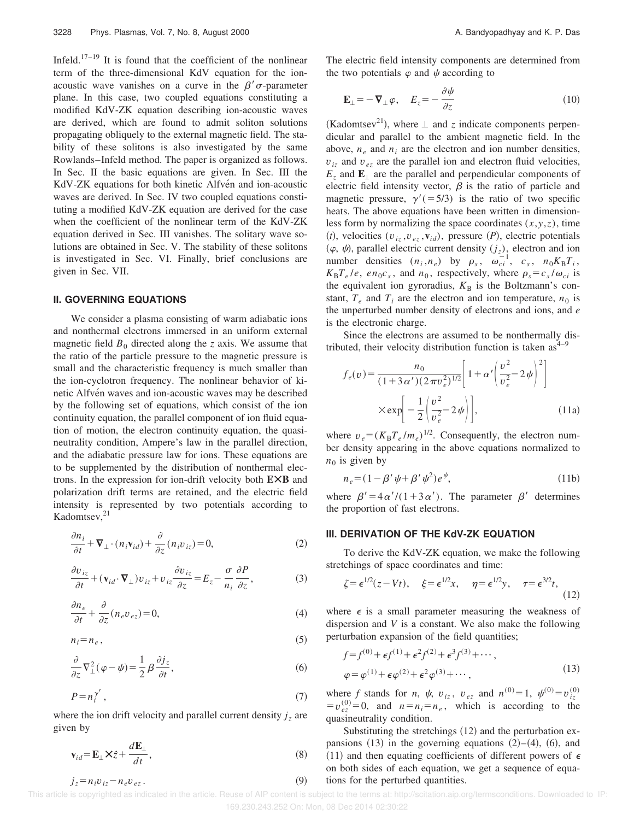Infeld.<sup>17–19</sup> It is found that the coefficient of the nonlinear term of the three-dimensional KdV equation for the ionacoustic wave vanishes on a curve in the  $\beta'$   $\sigma$ -parameter plane. In this case, two coupled equations constituting a modified KdV-ZK equation describing ion-acoustic waves are derived, which are found to admit soliton solutions propagating obliquely to the external magnetic field. The stability of these solitons is also investigated by the same Rowlands–Infeld method. The paper is organized as follows. In Sec. II the basic equations are given. In Sec. III the KdV-ZK equations for both kinetic Alfven and ion-acoustic waves are derived. In Sec. IV two coupled equations constituting a modified KdV-ZK equation are derived for the case when the coefficient of the nonlinear term of the KdV-ZK equation derived in Sec. III vanishes. The solitary wave solutions are obtained in Sec. V. The stability of these solitons is investigated in Sec. VI. Finally, brief conclusions are given in Sec. VII.

#### **II. GOVERNING EQUATIONS**

We consider a plasma consisting of warm adiabatic ions and nonthermal electrons immersed in an uniform external magnetic field  $B_0$  directed along the *z* axis. We assume that the ratio of the particle pressure to the magnetic pressure is small and the characteristic frequency is much smaller than the ion-cyclotron frequency. The nonlinear behavior of kinetic Alfvén waves and ion-acoustic waves may be described by the following set of equations, which consist of the ion continuity equation, the parallel component of ion fluid equation of motion, the electron continuity equation, the quasineutrality condition, Ampere's law in the parallel direction, and the adiabatic pressure law for ions. These equations are to be supplemented by the distribution of nonthermal electrons. In the expression for ion-drift velocity both **EÃB** and polarization drift terms are retained, and the electric field intensity is represented by two potentials according to Kadomtsev, $^{21}$ 

$$
\frac{\partial n_i}{\partial t} + \nabla_\perp \cdot (n_i \mathbf{v}_{id}) + \frac{\partial}{\partial z} (n_i v_{iz}) = 0,
$$
\n(2)

$$
\frac{\partial v_{iz}}{\partial t} + (\mathbf{v}_{id} \cdot \mathbf{\nabla}_{\perp}) v_{iz} + v_{iz} \frac{\partial v_{iz}}{\partial z} = E_z - \frac{\sigma}{n_i} \frac{\partial P}{\partial z},\tag{3}
$$

$$
\frac{\partial n_e}{\partial t} + \frac{\partial}{\partial z} (n_e v_{ez}) = 0, \tag{4}
$$

$$
n_i = n_e, \tag{5}
$$

$$
\frac{\partial}{\partial z}\nabla_{\perp}^{2}(\varphi - \psi) = \frac{1}{2}\beta \frac{\partial j_{z}}{\partial t},\tag{6}
$$

$$
P = n_i^{\gamma'},\tag{7}
$$

where the ion drift velocity and parallel current density  $j_z$  are given by

$$
\mathbf{v}_{id} = \mathbf{E}_{\perp} \mathbf{X} \hat{z} + \frac{d \mathbf{E}_{\perp}}{dt},
$$
\n(8)

The electric field intensity components are determined from the two potentials  $\varphi$  and  $\psi$  according to

$$
\mathbf{E}_{\perp} = -\nabla_{\perp} \varphi, \quad E_z = -\frac{\partial \psi}{\partial z} \tag{10}
$$

(Kadomtsev<sup>21</sup>), where  $\perp$  and *z* indicate components perpendicular and parallel to the ambient magnetic field. In the above,  $n_e$  and  $n_i$  are the electron and ion number densities,  $v_{iz}$  and  $v_{ez}$  are the parallel ion and electron fluid velocities,  $E_z$  and  $\mathbf{E}_\perp$  are the parallel and perpendicular components of electric field intensity vector,  $\beta$  is the ratio of particle and magnetic pressure,  $\gamma' = 5/3$  is the ratio of two specific heats. The above equations have been written in dimensionless form by normalizing the space coordinates  $(x, y, z)$ , time  $(t)$ , velocities  $(v_{iz}, v_{ez}, v_{id})$ , pressure  $(P)$ , electric potentials  $(\varphi, \psi)$ , parallel electric current density  $(j_z)$ , electron and ion number densities  $(n_i, n_e)$  by  $\rho_s$ ,  $\omega_{ci}^{-1}$ ,  $c_s$ ,  $n_0K_B T_i$ ,  $K_{\rm B}T_e/e$ , *en*<sub>0</sub>*c<sub>s</sub>*, and *n*<sub>0</sub>, respectively, where  $\rho_s = c_s/\omega_{ci}$  is the equivalent ion gyroradius,  $K<sub>B</sub>$  is the Boltzmann's constant,  $T_e$  and  $T_i$  are the electron and ion temperature,  $n_0$  is the unperturbed number density of electrons and ions, and *e* is the electronic charge.

Since the electrons are assumed to be nonthermally distributed, their velocity distribution function is taken  $\text{as}^{4-9}$ 

$$
f_e(v) = \frac{n_0}{(1 + 3\alpha') (2\pi v_e^2)^{1/2}} \left[ 1 + \alpha' \left( \frac{v^2}{v_e^2} - 2\psi \right)^2 \right]
$$
  
×  $\exp \left[ -\frac{1}{2} \left( \frac{v^2}{v_e^2} - 2\psi \right) \right],$  (11a)

where  $v_e = (K_B T_e / m_e)^{1/2}$ . Consequently, the electron number density appearing in the above equations normalized to  $n_0$  is given by

$$
n_e = (1 - \beta' \psi + \beta' \psi^2) e^{\psi}, \qquad (11b)
$$

where  $\beta' = 4\alpha'/(1+3\alpha')$ . The parameter  $\beta'$  determines the proportion of fast electrons.

### **III. DERIVATION OF THE KdV-ZK EQUATION**

To derive the KdV-ZK equation, we make the following stretchings of space coordinates and time:

$$
\zeta = \epsilon^{1/2}(z - Vt), \quad \xi = \epsilon^{1/2}x, \quad \eta = \epsilon^{1/2}y, \quad \tau = \epsilon^{3/2}t,
$$
\n(12)

where  $\epsilon$  is a small parameter measuring the weakness of dispersion and *V* is a constant. We also make the following perturbation expansion of the field quantities;

$$
f = f^{(0)} + \epsilon f^{(1)} + \epsilon^2 f^{(2)} + \epsilon^3 f^{(3)} + \cdots,
$$
  
\n
$$
\varphi = \varphi^{(1)} + \epsilon \varphi^{(2)} + \epsilon^2 \varphi^{(3)} + \cdots,
$$
\n(13)

where *f* stands for *n*,  $\psi$ ,  $v_{iz}$ ,  $v_{ez}$  and  $n^{(0)} = 1$ ,  $\psi^{(0)} = v_{iz}^{(0)}$  $=v_{ez}^{(0)}=0$ , and  $n=n_i=n_e$ , which is according to the quasineutrality condition.

Substituting the stretchings  $(12)$  and the perturbation expansions  $(13)$  in the governing equations  $(2)$ – $(4)$ ,  $(6)$ , and (11) and then equating coefficients of different powers of  $\epsilon$ on both sides of each equation, we get a sequence of equations for the perturbed quantities.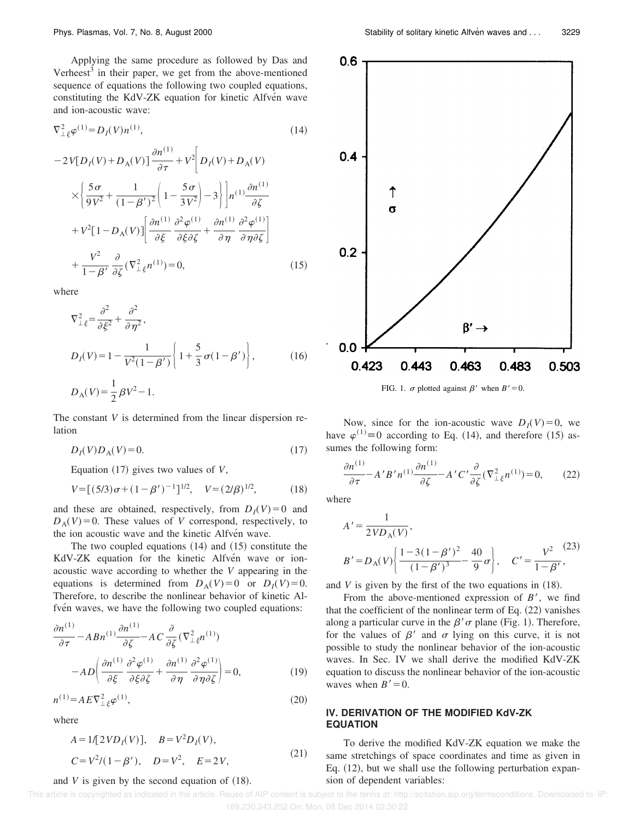Applying the same procedure as followed by Das and Verheest $3$  in their paper, we get from the above-mentioned sequence of equations the following two coupled equations, constituting the KdV-ZK equation for kinetic Alfvén wave and ion-acoustic wave:

$$
\nabla_{\perp \xi}^2 \varphi^{(1)} = D_I(V) n^{(1)},\tag{14}
$$

$$
-2V[D_I(V) + D_A(V)]\frac{\partial n^{(1)}}{\partial \tau} + V^2 \bigg[D_I(V) + D_A(V)
$$

$$
\times \bigg\{\frac{5\sigma}{9V^2} + \frac{1}{(1-\beta')^2} \bigg(1 - \frac{5\sigma}{3V^2}\bigg) - 3\bigg\} \bigg] n^{(1)} \frac{\partial n^{(1)}}{\partial \zeta}
$$

$$
+ V^2 [1 - D_A(V)] \bigg[\frac{\partial n^{(1)}}{\partial \xi} \frac{\partial^2 \varphi^{(1)}}{\partial \xi \partial \zeta} + \frac{\partial n^{(1)}}{\partial \eta} \frac{\partial^2 \varphi^{(1)}}{\partial \eta \partial \zeta}\bigg]
$$

$$
+ \frac{V^2}{1 - \beta'} \frac{\partial}{\partial \zeta} (\nabla_{\perp\xi}^2 n^{(1)}) = 0,
$$
(15)

where

$$
\nabla_{\perp \xi}^{2} = \frac{\partial^{2}}{\partial \xi^{2}} + \frac{\partial^{2}}{\partial \eta^{2}},
$$
\n
$$
D_{I}(V) = 1 - \frac{1}{V^{2}(1 - \beta')} \left\{ 1 + \frac{5}{3} \sigma (1 - \beta') \right\},
$$
\n
$$
D_{A}(V) = \frac{1}{2} \beta V^{2} - 1.
$$
\n(16)

The constant *V* is determined from the linear dispersion relation

$$
D_I(V)D_A(V) = 0.\t\t(17)
$$

Equation  $(17)$  gives two values of *V*,

$$
V = [(5/3)\sigma + (1 - \beta')^{-1}]^{1/2}, \quad V = (2/\beta)^{1/2}, \quad (18)
$$

and these are obtained, respectively, from  $D_I(V) = 0$  and  $D_A(V) = 0$ . These values of *V* correspond, respectively, to the ion acoustic wave and the kinetic Alfvén wave.

The two coupled equations  $(14)$  and  $(15)$  constitute the KdV-ZK equation for the kinetic Alfvén wave or ionacoustic wave according to whether the *V* appearing in the equations is determined from  $D_A(V) = 0$  or  $D_I(V) = 0$ . Therefore, to describe the nonlinear behavior of kinetic Alfven waves, we have the following two coupled equations:

$$
\frac{\partial n^{(1)}}{\partial \tau} - ABn^{(1)} \frac{\partial n^{(1)}}{\partial \zeta} - AC \frac{\partial}{\partial \zeta} (\nabla^2_{\perp \xi} n^{(1)}) \n- AD \left( \frac{\partial n^{(1)}}{\partial \xi} \frac{\partial^2 \varphi^{(1)}}{\partial \xi \partial \zeta} + \frac{\partial n^{(1)}}{\partial \eta} \frac{\partial^2 \varphi^{(1)}}{\partial \eta \partial \zeta} \right) = 0,
$$
\n(19)

$$
n^{(1)} = A E \nabla_{\perp \xi}^2 \varphi^{(1)},
$$
\n(20)

where

$$
A = 1/[2VDI(V)], B = V2DI(V),C = V2/(1 - \beta'), D = V2, E = 2V,
$$
 (21)

#### and  $V$  is given by the second equation of  $(18)$ .



FIG. 1.  $\sigma$  plotted against  $\beta'$  when  $B' = 0$ .

Now, since for the ion-acoustic wave  $D_I(V) = 0$ , we have  $\varphi^{(1)} \equiv 0$  according to Eq. (14), and therefore (15) assumes the following form:

$$
\frac{\partial n^{(1)}}{\partial \tau} - A'B'n^{(1)}\frac{\partial n^{(1)}}{\partial \zeta} - A'C'\frac{\partial}{\partial \zeta}(\nabla^2_{\perp\xi}n^{(1)}) = 0,\qquad(22)
$$

where

$$
A' = \frac{1}{2VD_{A}(V)},
$$
  
\n
$$
B' = D_{A}(V) \left\{ \frac{1 - 3(1 - \beta')^{2}}{(1 - \beta')^{3}} - \frac{40}{9}\sigma \right\}, \quad C' = \frac{V^{2}}{1 - \beta'},
$$
\n(23)

and  $V$  is given by the first of the two equations in  $(18)$ .

From the above-mentioned expression of  $B'$ , we find that the coefficient of the nonlinear term of Eq.  $(22)$  vanishes along a particular curve in the  $\beta' \sigma$  plane (Fig. 1). Therefore, for the values of  $\beta'$  and  $\sigma$  lying on this curve, it is not possible to study the nonlinear behavior of the ion-acoustic waves. In Sec. IV we shall derive the modified KdV-ZK equation to discuss the nonlinear behavior of the ion-acoustic waves when  $B' = 0$ .

## **IV. DERIVATION OF THE MODIFIED KdV-ZK EQUATION**

To derive the modified KdV-ZK equation we make the same stretchings of space coordinates and time as given in Eq.  $(12)$ , but we shall use the following perturbation expansion of dependent variables: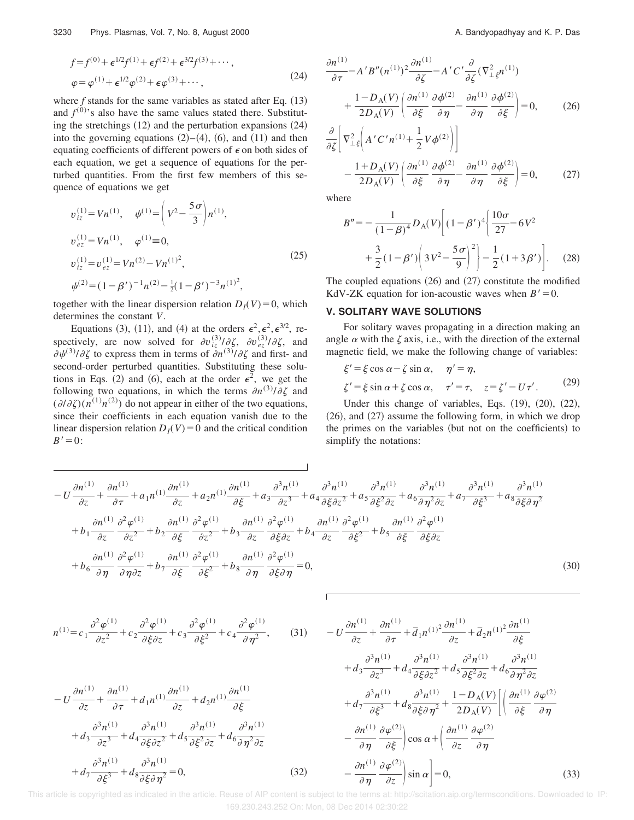$$
f = f^{(0)} + \epsilon^{1/2} f^{(1)} + \epsilon f^{(2)} + \epsilon^{3/2} f^{(3)} + \cdots,
$$
  
\n
$$
\varphi = \varphi^{(1)} + \epsilon^{1/2} \varphi^{(2)} + \epsilon \varphi^{(3)} + \cdots,
$$
\n(24)

where  $f$  stands for the same variables as stated after Eq.  $(13)$ and  $f^{(0)}$ 's also have the same values stated there. Substituting the stretchings  $(12)$  and the perturbation expansions  $(24)$ into the governing equations  $(2)–(4)$ ,  $(6)$ , and  $(11)$  and then equating coefficients of different powers of  $\epsilon$  on both sides of each equation, we get a sequence of equations for the perturbed quantities. From the first few members of this sequence of equations we get

$$
v_{iz}^{(1)} = Vn^{(1)}, \quad \psi^{(1)} = \left(V^2 - \frac{5\sigma}{3}\right)n^{(1)},
$$
  
\n
$$
v_{ez}^{(1)} = Vn^{(1)}, \quad \varphi^{(1)} = 0,
$$
  
\n
$$
v_{iz}^{(1)} = v_{ez}^{(1)} = Vn^{(2)} - Vn^{(1)^2},
$$
  
\n
$$
\psi^{(2)} = (1 - \beta')^{-1}n^{(2)} - \frac{1}{2}(1 - \beta')^{-3}n^{(1)^2},
$$
\n(25)

together with the linear dispersion relation  $D_I(V) = 0$ , which determines the constant *V*.

Equations (3), (11), and (4) at the orders  $\epsilon^2$ ,  $\epsilon^3$ ,  $\epsilon^{3/2}$ , respectively, are now solved for  $\partial v_{iz}^{(3)}/\partial \zeta$ ,  $\partial v_{ez}^{(3)}/\partial \zeta$ , and  $\partial \psi^{(3)}/\partial \zeta$  to express them in terms of  $\partial n^{(3)}/\partial \zeta$  and first- and second-order perturbed quantities. Substituting these solutions in Eqs. (2) and (6), each at the order  $\epsilon^2$ , we get the following two equations, in which the terms  $\partial n^{(3)}/\partial \zeta$  and  $(\partial/\partial \zeta)(n^{(1)}n^{(2)})$  do not appear in either of the two equations, since their coefficients in each equation vanish due to the linear dispersion relation  $D_I(V) = 0$  and the critical condition  $B'=0$ :

$$
\frac{\partial n^{(1)}}{\partial \tau} - A'B''(n^{(1)})^2 \frac{\partial n^{(1)}}{\partial \zeta} - A'C' \frac{\partial}{\partial \zeta} (\nabla^2_{\perp \xi} n^{(1)}) + \frac{1 - D_A(V)}{2D_A(V)} \left( \frac{\partial n^{(1)}}{\partial \xi} \frac{\partial \phi^{(2)}}{\partial \eta} - \frac{\partial n^{(1)}}{\partial \eta} \frac{\partial \phi^{(2)}}{\partial \xi} \right) = 0, \qquad (26)
$$

$$
\frac{\partial}{\partial \xi} \left[ \nabla_{\perp \xi}^{2} \left( A' C' n^{(1)} + \frac{1}{2} V \phi^{(2)} \right) \right] - \frac{1 + D_{\rm A}(V)}{2 D_{\rm A}(V)} \left( \frac{\partial n^{(1)}}{\partial \xi} \frac{\partial \phi^{(2)}}{\partial \eta} - \frac{\partial n^{(1)}}{\partial \eta} \frac{\partial \phi^{(2)}}{\partial \xi} \right) = 0, \tag{27}
$$

where

$$
B'' = -\frac{1}{(1-\beta)^4} D_{\rm A}(V) \left[ (1-\beta')^4 \left\{ \frac{10\sigma}{27} - 6V^2 + \frac{3}{2} (1-\beta') \left( 3V^2 - \frac{5\sigma}{9} \right)^2 \right\} - \frac{1}{2} (1+3\beta') \right].
$$
 (28)

The coupled equations  $(26)$  and  $(27)$  constitute the modified KdV-ZK equation for ion-acoustic waves when  $B' = 0$ .

### **V. SOLITARY WAVE SOLUTIONS**

For solitary waves propagating in a direction making an angle  $\alpha$  with the  $\zeta$  axis, i.e., with the direction of the external magnetic field, we make the following change of variables:

$$
\xi' = \xi \cos \alpha - \zeta \sin \alpha, \quad \eta' = \eta,
$$
  

$$
\zeta' = \xi \sin \alpha + \zeta \cos \alpha, \quad \tau' = \tau, \quad z = \zeta' - U\tau'.
$$
 (29)

Under this change of variables, Eqs.  $(19)$ ,  $(20)$ ,  $(22)$ ,  $(26)$ , and  $(27)$  assume the following form, in which we drop the primes on the variables (but not on the coefficients) to simplify the notations:

$$
-U\frac{\partial n^{(1)}}{\partial z} + \frac{\partial n^{(1)}}{\partial \tau} + a_1 n^{(1)} \frac{\partial n^{(1)}}{\partial z} + a_2 n^{(1)} \frac{\partial n^{(1)}}{\partial \xi} + a_3 \frac{\partial^3 n^{(1)}}{\partial z^3} + a_4 \frac{\partial^3 n^{(1)}}{\partial \xi \partial z^2} + a_5 \frac{\partial^3 n^{(1)}}{\partial \xi^2 \partial z} + a_6 \frac{\partial^3 n^{(1)}}{\partial \eta^2 \partial z} + a_7 \frac{\partial^3 n^{(1)}}{\partial \xi^3} + a_8 \frac{\partial^3 n^{(1)}}{\partial \xi \partial \eta^2} + b_9 \frac{\partial n^{(1)}}{\partial z^2} + b_2 \frac{\partial n^{(1)}}{\partial \xi} + b_3 \frac{\partial n^{(1)}}{\partial z} + b_3 \frac{\partial n^{(1)}}{\partial z} + b_4 \frac{\partial n^{(1)}}{\partial z} + b_4 \frac{\partial n^{(1)}}{\partial z} + b_5 \frac{\partial n^{(1)}}{\partial \xi} + b_5 \frac{\partial n^{(1)}}{\partial \xi} + b_5 \frac{\partial n^{(1)}}{\partial \xi \partial z} + b_6 \frac{\partial n^{(1)}}{\partial \xi \partial z} + b_7 \frac{\partial n^{(1)}}{\partial \xi} + b_7 \frac{\partial n^{(1)}}{\partial \xi} + b_8 \frac{\partial n^{(1)}}{\partial \eta} + b_8 \frac{\partial n^{(1)}}{\partial \eta} + b_8 \frac{\partial n^{(1)}}{\partial \eta} + b_8 \frac{\partial n^{(1)}}{\partial \eta} + b_8 \frac{\partial n^{(1)}}{\partial \eta} + b_8 \frac{\partial n^{(1)}}{\partial \eta} + b_8 \frac{\partial n^{(1)}}{\partial \eta} + b_9 \frac{\partial n^{(1)}}{\partial \eta} + b_9 \frac{\partial n^{(1)}}{\partial \eta} + b_9 \frac{\partial n^{(1)}}{\partial \eta} + b_9 \frac{\partial n^{(1)}}{\partial \eta} + b_9 \frac{\partial n^{(1)}}{\partial \eta} + b_9 \frac{\partial n^{(1)}}{\partial \eta} + b_9 \frac{\partial n^{(1)}}{\partial \eta} + b_9 \frac{\partial n^{(1)}}{\partial \eta} + b_9 \frac{\partial n^{(1)}}{\partial \eta} + b_9 \frac{\partial n^{(1)}}{\partial \eta} + b_9 \frac{\partial n^{(1)}}{\partial
$$

$$
n^{(1)} = c_1 \frac{\partial^2 \varphi^{(1)}}{\partial z^2} + c_2 \frac{\partial^2 \varphi^{(1)}}{\partial \xi \partial z} + c_3 \frac{\partial^2 \varphi^{(1)}}{\partial \xi^2} + c_4 \frac{\partial^2 \varphi^{(1)}}{\partial \eta^2},
$$
 (31)

$$
-U\frac{\partial n^{(1)}}{\partial z} + \frac{\partial n^{(1)}}{\partial \tau} + d_1 n^{(1)}\frac{\partial n^{(1)}}{\partial z} + d_2 n^{(1)}\frac{\partial n^{(1)}}{\partial \xi} + d_3 \frac{\partial^3 n^{(1)}}{\partial z^3} + d_4 \frac{\partial^3 n^{(1)}}{\partial \xi \partial z^2} + d_5 \frac{\partial^3 n^{(1)}}{\partial \xi^2 \partial z} + d_6 \frac{\partial^3 n^{(1)}}{\partial \eta^2 \partial z} + d_7 \frac{\partial^3 n^{(1)}}{\partial \xi^3} + d_8 \frac{\partial^3 n^{(1)}}{\partial \xi \partial \eta^2} = 0,
$$
(32)

$$
-U\frac{\partial n^{(1)}}{\partial z} + \frac{\partial n^{(1)}}{\partial \tau} + \bar{d}_1 n^{(1)^2} \frac{\partial n^{(1)}}{\partial z} + \bar{d}_2 n^{(1)^2} \frac{\partial n^{(1)}}{\partial \xi} + d_3 \frac{\partial^3 n^{(1)}}{\partial z^3} + d_4 \frac{\partial^3 n^{(1)}}{\partial \xi \partial z^2} + d_5 \frac{\partial^3 n^{(1)}}{\partial \xi^2 \partial z} + d_6 \frac{\partial^3 n^{(1)}}{\partial \eta^2 \partial z} + d_7 \frac{\partial^3 n^{(1)}}{\partial \xi^3} + d_8 \frac{\partial^3 n^{(1)}}{\partial \xi \partial \eta^2} + \frac{1 - D_A(V)}{2D_A(V)} \left[ \left( \frac{\partial n^{(1)}}{\partial \xi} \frac{\partial \varphi^{(2)}}{\partial \eta} - \frac{\partial n^{(1)}}{\partial \eta} \frac{\partial \varphi^{(2)}}{\partial \xi} \right) \cos \alpha + \left( \frac{\partial n^{(1)}}{\partial z} \frac{\partial \varphi^{(2)}}{\partial \eta} - \frac{\partial n^{(1)}}{\partial \eta} \frac{\partial \varphi^{(2)}}{\partial \xi} \right) \sin \alpha \right] = 0,
$$
(33)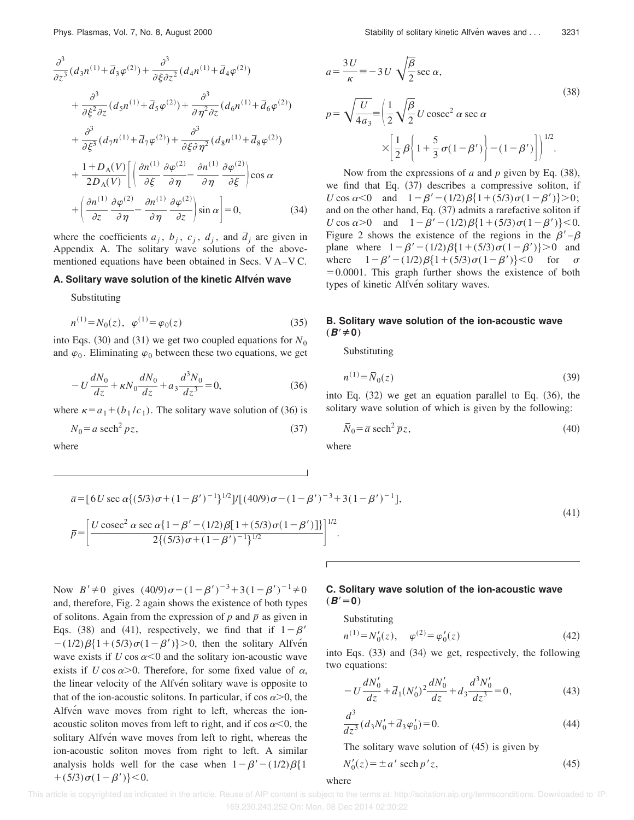$$
\frac{\partial^3}{\partial z^3} (d_3 n^{(1)} + \overline{d}_3 \varphi^{(2)}) + \frac{\partial^3}{\partial \xi \partial z^2} (d_4 n^{(1)} + \overline{d}_4 \varphi^{(2)}) \n+ \frac{\partial^3}{\partial \xi^2 \partial z} (d_5 n^{(1)} + \overline{d}_5 \varphi^{(2)}) + \frac{\partial^3}{\partial \eta^2 \partial z} (d_6 n^{(1)} + \overline{d}_6 \varphi^{(2)}) \n+ \frac{\partial^3}{\partial \xi^3} (d_7 n^{(1)} + \overline{d}_7 \varphi^{(2)}) + \frac{\partial^3}{\partial \xi \partial \eta^2} (d_8 n^{(1)} + \overline{d}_8 \varphi^{(2)}) \n+ \frac{1 + D_A(V)}{2D_A(V)} \left[ \left( \frac{\partial n^{(1)}}{\partial \xi} \frac{\partial \varphi^{(2)}}{\partial \eta} - \frac{\partial n^{(1)}}{\partial \eta} \frac{\partial \varphi^{(2)}}{\partial \xi} \right) \cos \alpha \n+ \left( \frac{\partial n^{(1)}}{\partial z} \frac{\partial \varphi^{(2)}}{\partial \eta} - \frac{\partial n^{(1)}}{\partial \eta} \frac{\partial \varphi^{(2)}}{\partial z} \right) \sin \alpha \right] = 0, \quad (34)
$$

where the coefficients  $a_j$ ,  $b_j$ ,  $c_j$ ,  $d_j$ , and  $\overline{d}_j$  are given in Appendix A. The solitary wave solutions of the abovementioned equations have been obtained in Secs. V A–V C.

### **A. Solitary wave solution of the kinetic Alfven wave**

Substituting

$$
n^{(1)} = N_0(z), \ \varphi^{(1)} = \varphi_0(z) \tag{35}
$$

into Eqs.  $(30)$  and  $(31)$  we get two coupled equations for  $N_0$ and  $\varphi_0$ . Eliminating  $\varphi_0$  between these two equations, we get

$$
-U\frac{dN_0}{dz} + \kappa N_0 \frac{dN_0}{dz} + a_3 \frac{d^3 N_0}{dz^3} = 0,
$$
\t(36)

where  $\kappa = a_1 + (b_1/c_1)$ . The solitary wave solution of (36) is

$$
N_0 = a \text{ sech}^2 pz,
$$
\n(37)

where

Phys. Plasmas, Vol. 7, No. 8, August 2000 Stability of solitary kinetic Alfve´n waves and . . . 3231

$$
a = \frac{3U}{\kappa} = -3U \sqrt{\frac{\beta}{2}} \sec \alpha,
$$
  
\n
$$
p = \sqrt{\frac{U}{4a_3}} = \left(\frac{1}{2}\sqrt{\frac{\beta}{2}}U \csc^2 \alpha \sec \alpha \right)
$$
  
\n
$$
\times \left[\frac{1}{2}\beta \left(1 + \frac{5}{3}\sigma(1 - \beta')\right) - (1 - \beta')\right]^{1/2}.
$$
\n(38)

Now from the expressions of *a* and *p* given by Eq.  $(38)$ , we find that Eq.  $(37)$  describes a compressive soliton, if *U* cos  $\alpha$ <0 and  $1-\beta'$  –  $(1/2)\beta\{1+(5/3)\sigma(1-\beta')\}$  > 0; and on the other hand, Eq.  $(37)$  admits a rarefactive soliton if *U* cos  $\alpha > 0$  and  $1 - \beta' - (1/2)\beta \{1 + (5/3)\sigma(1-\beta')\} < 0$ . Figure 2 shows the existence of the regions in the  $\beta'$ – $\beta$ plane where  $1-\beta' - (1/2)\beta\{1+(5/3)\sigma(1-\beta')\} > 0$  and where  $1-\beta' - (1/2)\beta\{1+(5/3)\sigma(1-\beta')\}\leq 0$  for  $\sigma$  $=0.0001$ . This graph further shows the existence of both types of kinetic Alfvén solitary waves.

# **B. Solitary wave solution of the ion-acoustic wave**  $(B' ≠ 0)$

Substituting

$$
n^{(1)} = \bar{N}_0(z)
$$
 (39)

into Eq.  $(32)$  we get an equation parallel to Eq.  $(36)$ , the solitary wave solution of which is given by the following:

$$
\overline{N}_0 = \overline{a} \ \text{sech}^2 \ \overline{p} z,\tag{40}
$$

where

$$
\bar{a} = [6U \sec \alpha \{ (5/3) \sigma + (1 - \beta')^{-1} \}^{1/2}]/[(40/9) \sigma - (1 - \beta')^{-3} + 3(1 - \beta')^{-1}],
$$
\n
$$
\bar{p} = \left[ \frac{U \csc^2 \alpha \sec \alpha \{ 1 - \beta' - (1/2) \beta [1 + (5/3) \sigma (1 - \beta')] \} }{2 \{ (5/3) \sigma + (1 - \beta')^{-1} \}^{1/2}} \right]^{1/2}.
$$
\n(41)

Now  $B' \neq 0$  gives  $(40/9)\sigma - (1 - \beta')^{-3} + 3(1 - \beta')^{-1} \neq 0$ and, therefore, Fig. 2 again shows the existence of both types of solitons. Again from the expression of  $p$  and  $\bar{p}$  as given in Eqs. (38) and (41), respectively, we find that if  $1-\beta'$  $-(1/2)\beta\{1+(5/3)\sigma(1-\beta')\}\geq 0$ , then the solitary Alfve<sup>n</sup> wave exists if  $U \cos \alpha \leq 0$  and the solitary ion-acoustic wave exists if *U* cos  $\alpha$ >0. Therefore, for some fixed value of  $\alpha$ , the linear velocity of the Alfvén solitary wave is opposite to that of the ion-acoustic solitons. In particular, if  $\cos \alpha > 0$ , the Alfvén wave moves from right to left, whereas the ionacoustic soliton moves from left to right, and if  $\cos \alpha < 0$ , the solitary Alfvén wave moves from left to right, whereas the ion-acoustic soliton moves from right to left. A similar analysis holds well for the case when  $1-\beta' - (1/2)\beta\{1\}$  $+(5/3)\sigma(1-\beta')\}<0.$ 

# **C. Solitary wave solution of the ion-acoustic wave**  $(B<sup>′</sup>=0)$

Substituting

$$
n^{(1)} = N'_0(z), \quad \varphi^{(2)} = \varphi'_0(z) \tag{42}
$$

into Eqs.  $(33)$  and  $(34)$  we get, respectively, the following two equations:

$$
-U\frac{dN'_0}{dz} + \overline{d}_1(N'_0)^2 \frac{dN'_0}{dz} + d_3 \frac{d^3 N'_0}{dz^3} = 0,
$$
\n(43)

$$
\frac{d^3}{dz^3}(d_3N'_0 + \bar{d}_3\varphi'_0) = 0.
$$
\n(44)

The solitary wave solution of  $(45)$  is given by

$$
N'_0(z) = \pm a' \operatorname{sech} p' z,\tag{45}
$$

#### where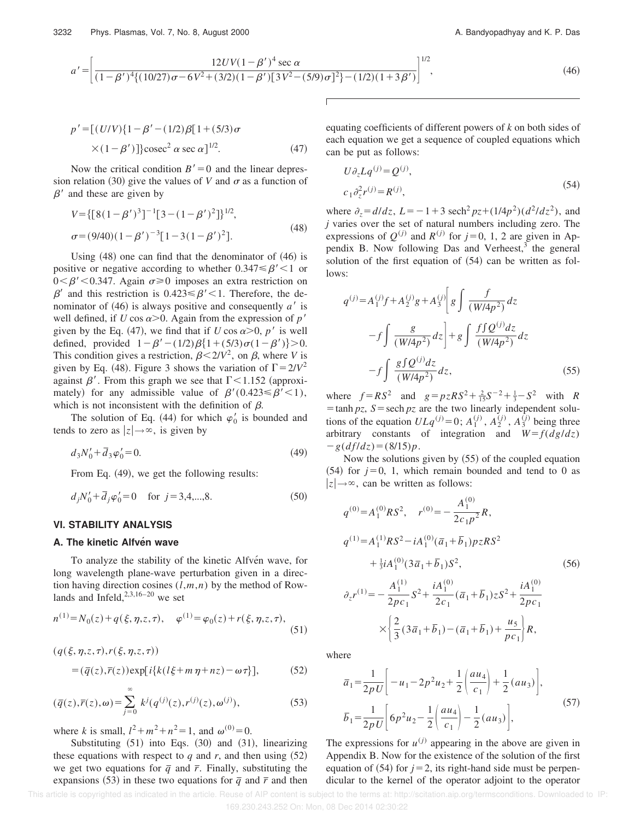$$
a' = \left[ \frac{12UV(1-\beta')^4 \sec \alpha}{(1-\beta')^4 \{(10/27)\sigma - 6V^2 + (3/2)(1-\beta')\sqrt{3V^2 - (5/9)\sigma^2}\} - (1/2)(1+3\beta')}\right]^{1/2},\tag{46}
$$

$$
p' = [(U/V){1 - \beta' - (1/2)\beta[1 + (5/3)\sigma] \times (1 - \beta')}]\csc^2 \alpha \sec \alpha]^{1/2}.
$$
 (47)

Now the critical condition  $B' = 0$  and the linear depression relation (30) give the values of *V* and  $\sigma$  as a function of  $\beta'$  and these are given by

$$
V = \{ [8(1 - \beta')^3]^{-1} [3 - (1 - \beta')^2] \}^{1/2},
$$
  
\n
$$
\sigma = (9/40)(1 - \beta')^{-3} [1 - 3(1 - \beta')^2].
$$
\n(48)

Using  $(48)$  one can find that the denominator of  $(46)$  is positive or negative according to whether  $0.347 \leq \beta' \leq 1$  or  $0<\beta' < 0.347$ . Again  $\sigma \ge 0$  imposes an extra restriction on  $\beta'$  and this restriction is 0.423  $\leq \beta'$  < 1. Therefore, the denominator of  $(46)$  is always positive and consequently *a'* is well defined, if *U* cos  $\alpha$ >0. Again from the expression of *p'* given by the Eq. (47), we find that if *U* cos  $\alpha > 0$ , *p'* is well defined, provided  $1-\beta' - (1/2)\beta\{1+(5/3)\sigma(1-\beta')\} > 0$ . This condition gives a restriction,  $\beta < 2/V^2$ , on  $\beta$ , where *V* is given by Eq. (48). Figure 3 shows the variation of  $\Gamma = 2/V^2$ against  $\beta'$ . From this graph we see that  $\Gamma$  < 1.152 (approximately) for any admissible value of  $\beta'(0.423 \leq \beta' < 1)$ , which is not inconsistent with the definition of  $\beta$ .

The solution of Eq. (44) for which  $\varphi'_0$  is bounded and tends to zero as  $|z| \rightarrow \infty$ , is given by

$$
d_3N'_0 + \bar{d}_3\varphi'_0 = 0.
$$
 (49)

From Eq.  $(49)$ , we get the following results:

$$
d_j N'_0 + \bar{d}_j \varphi'_0 = 0 \quad \text{for } j = 3, 4, \dots, 8.
$$
 (50)

### **VI. STABILITY ANALYSIS**

## **A. The kinetic Alfven wave**

 $(q(\xi, \eta, z, \tau), r(\xi, \eta, z, \tau))$ 

To analyze the stability of the kinetic Alfven wave, for long wavelength plane-wave perturbation given in a direction having direction cosines (*l*,*m*,*n*) by the method of Rowlands and Infeld,  $2,3,16-20$  we set

$$
n^{(1)} = N_0(z) + q(\xi, \eta, z, \tau), \quad \varphi^{(1)} = \varphi_0(z) + r(\xi, \eta, z, \tau), \tag{51}
$$

$$
= (\overline{q}(z), \overline{r}(z)) \exp[i{k(l\xi + m\eta + nz) - \omega\tau}], \qquad (52)
$$

$$
(\bar{q}(z), \bar{r}(z), \omega) = \sum_{j=0}^{\infty} k^j (q^{(j)}(z), r^{(j)}(z), \omega^{(j)}),
$$
 (53)

where *k* is small,  $l^2 + m^2 + n^2 = 1$ , and  $\omega^{(0)} = 0$ .

Substituting  $(51)$  into Eqs.  $(30)$  and  $(31)$ , linearizing these equations with respect to  $q$  and  $r$ , and then using  $(52)$ we get two equations for  $\bar{q}$  and  $\bar{r}$ . Finally, substituting the expansions (53) in these two equations for  $\bar{q}$  and  $\bar{r}$  and then equating coefficients of different powers of *k* on both sides of each equation we get a sequence of coupled equations which can be put as follows:

$$
U\partial_z L q^{(j)} = Q^{(j)},
$$
  
\n
$$
c_1 \partial_z^2 r^{(j)} = R^{(j)},
$$
\n(54)

where  $\partial_z = d/dz$ ,  $L = -1 + 3 \text{ sech}^2 pz + (1/4p^2)(d^2/dz^2)$ , and *j* varies over the set of natural numbers including zero. The expressions of  $Q^{(j)}$  and  $R^{(j)}$  for  $j=0, 1, 2$  are given in Appendix B. Now following Das and Verheest,<sup>3</sup> the general solution of the first equation of  $(54)$  can be written as follows:

$$
q^{(j)} = A_1^{(j)} f + A_2^{(j)} g + A_3^{(j)} \left[ g \int \frac{f}{(W/4p^2)} dz \right]
$$

$$
-f \int \frac{g}{(W/4p^2)} dz + g \int \frac{f \int Q^{(j)} dz}{(W/4p^2)} dz
$$

$$
-f \int \frac{g \int Q^{(j)} dz}{(W/4p^2)} dz, \qquad (55)
$$

where  $f = RS^2$  and  $g = pzRS^2 + \frac{2}{15}S^{-2} + \frac{1}{3} - S^2$  with *R*  $t = \tanh pz$ ,  $S = \text{sech } pz$  are the two linearly independent solutions of the equation  $ULq^{(j)}=0$ ;  $A_1^{(j)}$ ,  $A_2^{(j)}$ ,  $A_3^{(j)}$  being three arbitrary constants of integration and  $W = f(dg/dz)$  $-g(df/dz)=(8/15)p.$ 

Now the solutions given by  $(55)$  of the coupled equation  $(54)$  for  $j=0, 1$ , which remain bounded and tend to 0 as  $|z| \rightarrow \infty$ , can be written as follows:

$$
q^{(0)} = A_1^{(0)}RS^2, \quad r^{(0)} = -\frac{A_1^{(0)}}{2c_1p^2}R,
$$
  
\n
$$
q^{(1)} = A_1^{(1)}RS^2 - iA_1^{(0)}(\bar{a}_1 + \bar{b}_1)pzRS^2
$$
  
\n
$$
+ \frac{1}{3}iA_1^{(0)}(3\bar{a}_1 + \bar{b}_1)S^2,
$$
  
\n
$$
\partial_z r^{(1)} = -\frac{A_1^{(1)}}{2pc_1}S^2 + \frac{iA_1^{(0)}}{2c_1}(\bar{a}_1 + \bar{b}_1)zS^2 + \frac{iA_1^{(0)}}{2pc_1}
$$
  
\n
$$
\times \left\{\frac{2}{3}(3\bar{a}_1 + \bar{b}_1) - (\bar{a}_1 + \bar{b}_1) + \frac{u_5}{pc_1}\right\}R,
$$

where

$$
\overline{a}_1 = \frac{1}{2pU} \left[ -u_1 - 2p^2 u_2 + \frac{1}{2} \left( \frac{au_4}{c_1} \right) + \frac{1}{2} (au_3) \right],
$$
  
\n
$$
\overline{b}_1 = \frac{1}{2pU} \left[ 6p^2 u_2 - \frac{1}{2} \left( \frac{au_4}{c_1} \right) - \frac{1}{2} (au_3) \right],
$$
\n(57)

The expressions for  $u^{(j)}$  appearing in the above are given in Appendix B. Now for the existence of the solution of the first equation of  $(54)$  for  $j=2$ , its right-hand side must be perpendicular to the kernel of the operator adjoint to the operator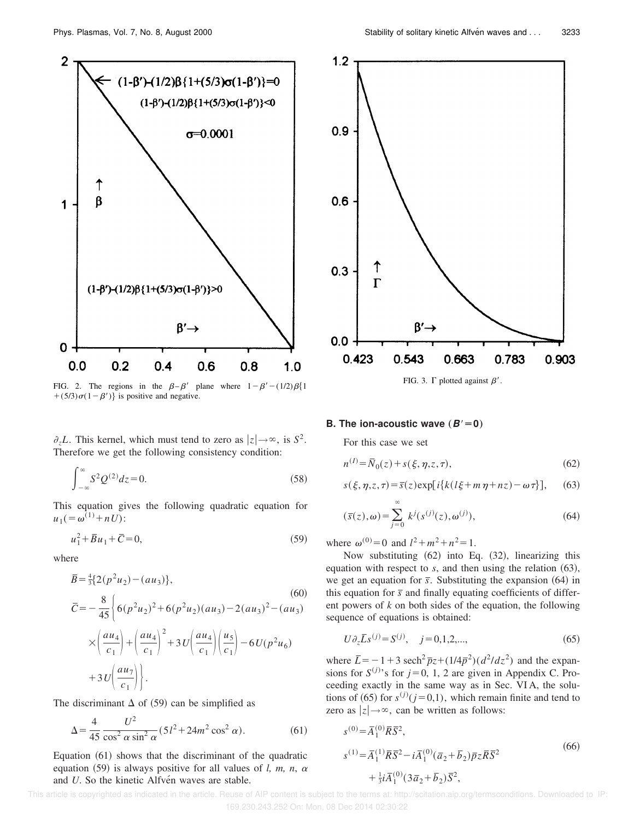

FIG. 2. The regions in the  $\beta-\beta'$  plane where  $1-\beta'$  –  $(1/2)\beta\{1\}$ +(5/3) $\sigma(1-\beta')$  is positive and negative.

 $\partial_z L$ . This kernel, which must tend to zero as  $|z| \rightarrow \infty$ , is  $S^2$ . Therefore we get the following consistency condition:

$$
\int_{-\infty}^{\infty} S^2 Q^{(2)} dz = 0.
$$
 (58)

This equation gives the following quadratic equation for  $u_1$  (=  $\omega^{(1)}$  + *nU*):

$$
u_1^2 + \overline{B}u_1 + \overline{C} = 0,\t\t(59)
$$

where

$$
\bar{B} = \frac{4}{3} \{ 2(p^2 u_2) - (au_3) \},
$$
\n
$$
\bar{C} = -\frac{8}{45} \left\{ 6(p^2 u_2)^2 + 6(p^2 u_2)(au_3) - 2(au_3)^2 - (au_3) \right\}
$$
\n
$$
\times \left( \frac{au_4}{c_1} \right) + \left( \frac{au_4}{c_1} \right)^2 + 3U \left( \frac{au_4}{c_1} \right) \left( \frac{u_5}{c_1} \right) - 6U(p^2 u_6)
$$
\n
$$
+ 3U \left( \frac{au_7}{c_1} \right) \right\}.
$$
\n(60)

The discriminant  $\Delta$  of (59) can be simplified as

$$
\Delta = \frac{4}{45} \frac{U^2}{\cos^2 \alpha \sin^2 \alpha} (5l^2 + 24m^2 \cos^2 \alpha). \tag{61}
$$

Equation  $(61)$  shows that the discriminant of the quadratic equation  $(59)$  is always positive for all values of *l, m, n,*  $\alpha$ and *U*. So the kinetic Alfven waves are stable.



FIG. 3.  $\Gamma$  plotted against  $\beta'$ .

#### **B.** The ion-acoustic wave  $(B'=0)$

For this case we set

$$
n^{(I)} = \bar{N}_0(z) + s(\xi, \eta, z, \tau),
$$
\n(62)

$$
s(\xi, \eta, z, \tau) = \overline{s}(z) \exp[i\{k(l\xi + m\eta + nz) - \omega \tau\}], \quad (63)
$$

$$
(\overline{s}(z), \omega) = \sum_{j=0}^{\infty} k^j (s^{(j)}(z), \omega^{(j)}), \qquad (64)
$$

where  $\omega^{(0)} = 0$  and  $l^2 + m^2 + n^2 = 1$ .

Now substituting  $(62)$  into Eq.  $(32)$ , linearizing this equation with respect to  $s$ , and then using the relation  $(63)$ , we get an equation for  $\bar{s}$ . Substituting the expansion  $(64)$  in this equation for  $\bar{s}$  and finally equating coefficients of different powers of *k* on both sides of the equation, the following sequence of equations is obtained:

$$
U\partial_z \bar{L}S^{(j)} = S^{(j)}, \quad j = 0, 1, 2, \dots,
$$
\n(65)

where  $\bar{L} = -1 + 3 \text{ sech}^2 \bar{p}_z + (1/4\bar{p}^2)(d^2/dz^2)$  and the expansions for  $S^{(j)}$ 's for  $j=0, 1, 2$  are given in Appendix C. Proceeding exactly in the same way as in Sec. VI A, the solutions of (65) for  $s^{(j)}$  ( $j=0,1$ ), which remain finite and tend to zero as  $|z| \rightarrow \infty$ , can be written as follows:

$$
s^{(0)} = \overline{A}_1^{(0)} \overline{R} \overline{S}^2,
$$
  
\n
$$
s^{(1)} = \overline{A}_1^{(1)} \overline{R} \overline{S}^2 - i \overline{A}_1^{(0)} (\overline{a}_2 + \overline{b}_2) \overline{p}_z \overline{R} \overline{S}^2
$$
  
\n
$$
+ \frac{1}{3} i \overline{A}_1^{(0)} (3 \overline{a}_2 + \overline{b}_2) \overline{S}^2,
$$
\n(66)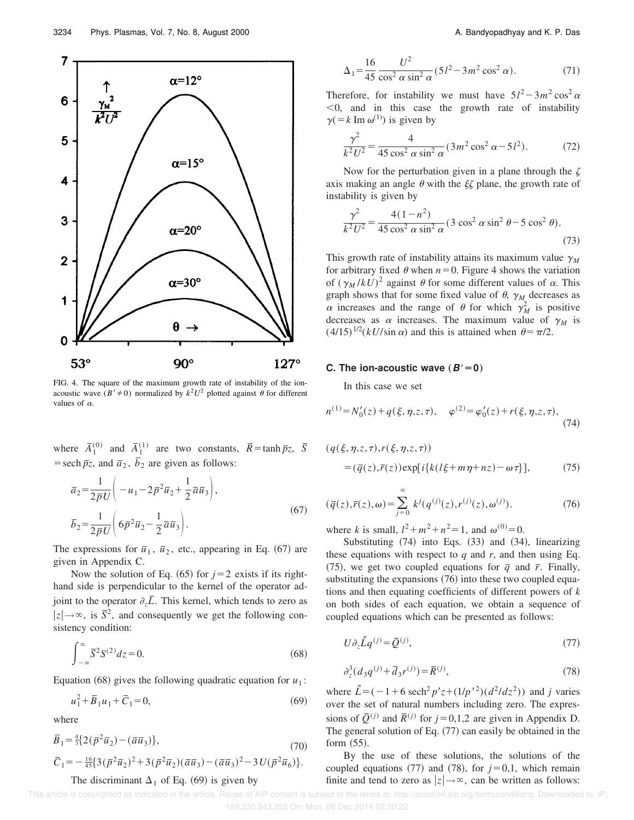

FIG. 4. The square of the maximum growth rate of instability of the ionacoustic wave  $(B' \neq 0)$  normalized by  $k^2 U^2$  plotted against  $\theta$  for different values of  $\alpha$ .

where  $\overline{A}_1^{(0)}$  and  $\overline{A}_1^{(1)}$  are two constants,  $\overline{R} = \tanh \overline{p}z$ ,  $\overline{S}$ = sech  $\bar{p}z$ , and  $\bar{a}_2$ ,  $\bar{b}_2$  are given as follows:

$$
\overline{a}_2 = \frac{1}{2\overline{p}U} \left( -u_1 - 2\overline{p}^2 \overline{u}_2 + \frac{1}{2}\overline{a}\overline{u}_3 \right),
$$
  
\n
$$
\overline{b}_2 = \frac{1}{2\overline{p}U} \left( 6\overline{p}^2 \overline{u}_2 - \frac{1}{2}\overline{a}\overline{u}_3 \right).
$$
\n(67)

The expressions for  $\bar{u}_1$ ,  $\bar{u}_2$ , etc., appearing in Eq. (67) are given in Appendix C.

Now the solution of Eq.  $(65)$  for  $j=2$  exists if its righthand side is perpendicular to the kernel of the operator adjoint to the operator  $\partial_z \overline{L}$ . This kernel, which tends to zero as  $|z| \rightarrow \infty$ , is  $\overline{S}^2$ , and consequently we get the following consistency condition:

$$
\int_{-\infty}^{\infty} \overline{S}^2 S^{(2)} dz = 0.
$$
 (68)

Equation (68) gives the following quadratic equation for  $u_1$ :

$$
u_1^2 + \overline{B}_1 u_1 + \overline{C}_1 = 0,\t\t(69)
$$

where

$$
\overline{B}_1 = \frac{4}{3} \{ 2(\overline{p}^2 \overline{u}_2) - (\overline{a} \overline{u}_3) \},
$$
\n
$$
\overline{C}_1 = -\frac{16}{45} \{ 3(\overline{p}^2 \overline{u}_2)^2 + 3(\overline{p}^2 \overline{u}_2) (\overline{a} \overline{u}_3) - (\overline{a} \overline{u}_3)^2 - 3U(\overline{p}^2 \overline{u}_6) \}.
$$
\n(70)

#### The discriminant  $\Delta_1$  of Eq. (69) is given by

$$
\Delta_1 = \frac{16}{45} \frac{U^2}{\cos^2 \alpha \sin^2 \alpha} (5l^2 - 3m^2 \cos^2 \alpha). \tag{71}
$$

Therefore, for instability we must have  $5l^2 - 3m^2 \cos^2 \alpha$  $<$ 0, and in this case the growth rate of instability  $\gamma$ (=k Im  $\omega$ <sup>(1)</sup>) is given by

$$
\frac{\gamma^2}{k^2 U^2} = \frac{4}{45 \cos^2 \alpha \sin^2 \alpha} (3m^2 \cos^2 \alpha - 5l^2). \tag{72}
$$

Now for the perturbation given in a plane through the  $\zeta$ axis making an angle  $\theta$  with the  $\xi \zeta$  plane, the growth rate of instability is given by

$$
\frac{\gamma^2}{k^2 U^2} = \frac{4(1 - n^2)}{45 \cos^2 \alpha \sin^2 \alpha} (3 \cos^2 \alpha \sin^2 \theta - 5 \cos^2 \theta).
$$
\n(73)

This growth rate of instability attains its maximum value  $\gamma_M$ for arbitrary fixed  $\theta$  when  $n=0$ . Figure 4 shows the variation of  $(\gamma_M / kU)^2$  against  $\theta$  for some different values of  $\alpha$ . This graph shows that for some fixed value of  $\theta$ ,  $\gamma_M$  decreases as  $\alpha$  increases and the range of  $\theta$  for which  $\gamma_M^2$  is positive decreases as  $\alpha$  increases. The maximum value of  $\gamma_M$  is  $(4/15)^{1/2}(kU/\sin \alpha)$  and this is attained when  $\theta = \pi/2$ .

#### **C.** The ion-acoustic wave  $(B'=0)$

In this case we set

$$
n^{(1)} = N'_0(z) + q(\xi, \eta, z, \tau), \quad \varphi^{(2)} = \varphi'_0(z) + r(\xi, \eta, z, \tau), \tag{74}
$$

$$
(q(\xi, \eta, z, \tau), r(\xi, \eta, z, \tau))
$$
  
=  $(\overline{q}(z), \overline{r}(z)) \exp[i{k(l\xi + m\eta + nz) - \omega \tau]},$  (75)

$$
(\bar{q}(z), \bar{r}(z), \omega) = \sum_{j=0}^{\infty} k^j (q^{(j)}(z), r^{(j)}(z), \omega^{(j)}).
$$
 (76)

where *k* is small,  $l^2 + m^2 + n^2 = 1$ , and  $\omega^{(0)} = 0$ .

Substituting  $(74)$  into Eqs.  $(33)$  and  $(34)$ , linearizing these equations with respect to  $q$  and  $r$ , and then using Eq.  $(75)$ , we get two coupled equations for  $\bar{q}$  and  $\bar{r}$ . Finally, substituting the expansions  $(76)$  into these two coupled equations and then equating coefficients of different powers of *k* on both sides of each equation, we obtain a sequence of coupled equations which can be presented as follows:

$$
U\partial_z \bar{\bar{L}} q^{(j)} = \bar{Q}^{(j)},\tag{77}
$$

$$
\partial_z^3 (d_3 q^{(j)} + \overline{d}_3 r^{(j)}) = \overline{R}^{(j)},\tag{78}
$$

where  $\bar{L} = (-1 + 6 \text{ sech}^2 p' z + (1/p'^2) (d^2 / dz^2))$  and *j* varies over the set of natural numbers including zero. The expressions of  $\overline{Q}^{(j)}$  and  $\overline{R}^{(j)}$  for  $j=0,1,2$  are given in Appendix D. The general solution of Eq.  $(77)$  can easily be obtained in the form  $(55)$ .

By the use of these solutions, the solutions of the coupled equations  $(77)$  and  $(78)$ , for  $j=0,1$ , which remain finite and tend to zero as  $|z| \rightarrow \infty$ , can be written as follows: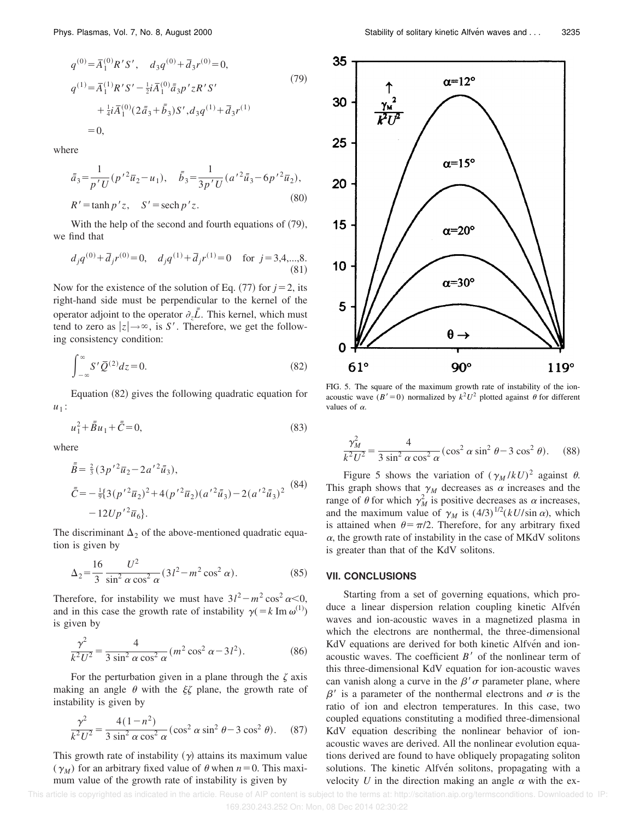$$
q^{(0)} = \overline{A}_1^{(0)} R' S', \quad d_3 q^{(0)} + \overline{d}_3 r^{(0)} = 0,
$$
  
\n
$$
q^{(1)} = \overline{A}_1^{(1)} R' S' - \frac{1}{2} i \overline{A}_1^{(0)} \overline{a}_3 p' z R' S' + \frac{1}{4} i \overline{A}_1^{(0)} (2 \overline{a}_3 + \overline{b}_3) S', d_3 q^{(1)} + \overline{d}_3 r^{(1)}
$$
  
\n
$$
= 0,
$$
\n(79)

where

$$
\bar{a}_3 = \frac{1}{p'U} (p'^2 \bar{u}_2 - u_1), \quad \bar{b}_3 = \frac{1}{3p'U} (a'^2 \bar{u}_3 - 6p'^2 \bar{u}_2),
$$
  
\n
$$
R' = \tanh p' z, \quad S' = \operatorname{sech} p' z.
$$
\n(80)

With the help of the second and fourth equations of  $(79)$ , we find that

$$
d_j q^{(0)} + \overline{d}_j r^{(0)} = 0
$$
,  $d_j q^{(1)} + \overline{d}_j r^{(1)} = 0$  for  $j = 3, 4, ..., 8$ . (81)

Now for the existence of the solution of Eq.  $(77)$  for  $j=2$ , its right-hand side must be perpendicular to the kernel of the operator adjoint to the operator  $\partial_z \overline{L}$ . This kernel, which must tend to zero as  $|z| \rightarrow \infty$ , is *S'*. Therefore, we get the following consistency condition:

$$
\int_{-\infty}^{\infty} S' \overline{Q}^{(2)} dz = 0.
$$
 (82)

Equation  $(82)$  gives the following quadratic equation for  $u_1$ :

$$
u_1^2 + \bar{\bar{B}}u_1 + \bar{\bar{C}} = 0,\t(83)
$$

where

$$
\bar{\bar{B}} = \frac{2}{3} (3p'^2 \bar{u}_2 - 2a'^2 \bar{u}_3),
$$
  
\n
$$
\bar{\bar{C}} = -\frac{1}{9} \{ 3(p'^2 \bar{u}_2)^2 + 4(p'^2 \bar{u}_2) (a'^2 \bar{u}_3) - 2(a'^2 \bar{u}_3)^2 \right)
$$
\n
$$
-12Up'^2 \bar{u}_6 \}.
$$
\n(84)

The discriminant  $\Delta_2$  of the above-mentioned quadratic equation is given by

$$
\Delta_2 = \frac{16}{3} \frac{U^2}{\sin^2 \alpha \cos^2 \alpha} (3l^2 - m^2 \cos^2 \alpha). \tag{85}
$$

Therefore, for instability we must have  $3l^2 - m^2 \cos^2 \alpha < 0$ , and in this case the growth rate of instability  $\gamma$ (=*k* Im  $\omega$ <sup>(1)</sup>) is given by

$$
\frac{\gamma^2}{k^2 U^2} = \frac{4}{3 \sin^2 \alpha \cos^2 \alpha} (m^2 \cos^2 \alpha - 3l^2).
$$
 (86)

For the perturbation given in a plane through the  $\zeta$  axis making an angle  $\theta$  with the  $\xi \zeta$  plane, the growth rate of instability is given by

$$
\frac{\gamma^2}{k^2 U^2} = \frac{4(1 - n^2)}{3 \sin^2 \alpha \cos^2 \alpha} (\cos^2 \alpha \sin^2 \theta - 3 \cos^2 \theta). \quad (87)
$$

This growth rate of instability  $(y)$  attains its maximum value  $(\gamma_M)$  for an arbitrary fixed value of  $\theta$  when  $n=0$ . This maximum value of the growth rate of instability is given by



FIG. 5. The square of the maximum growth rate of instability of the ionacoustic wave  $(B' = 0)$  normalized by  $k^2 U^2$  plotted against  $\theta$  for different values of  $\alpha$ .

$$
\frac{\gamma_M^2}{k^2 U^2} = \frac{4}{3 \sin^2 \alpha \cos^2 \alpha} (\cos^2 \alpha \sin^2 \theta - 3 \cos^2 \theta). \quad (88)
$$

Figure 5 shows the variation of  $(\gamma_M / kU)^2$  against  $\theta$ . This graph shows that  $\gamma_M$  decreases as  $\alpha$  increases and the range of  $\theta$  for which  $\gamma_M^2$  is positive decreases as  $\alpha$  increases, and the maximum value of  $\gamma_M$  is  $(4/3)^{1/2} (kU/\sin \alpha)$ , which is attained when  $\theta = \pi/2$ . Therefore, for any arbitrary fixed  $\alpha$ , the growth rate of instability in the case of MKdV solitons is greater than that of the KdV solitons.

#### **VII. CONCLUSIONS**

Starting from a set of governing equations, which produce a linear dispersion relation coupling kinetic Alfven waves and ion-acoustic waves in a magnetized plasma in which the electrons are nonthermal, the three-dimensional KdV equations are derived for both kinetic Alfven and ionacoustic waves. The coefficient  $B'$  of the nonlinear term of this three-dimensional KdV equation for ion-acoustic waves can vanish along a curve in the  $\beta'$   $\sigma$  parameter plane, where  $\beta'$  is a parameter of the nonthermal electrons and  $\sigma$  is the ratio of ion and electron temperatures. In this case, two coupled equations constituting a modified three-dimensional KdV equation describing the nonlinear behavior of ionacoustic waves are derived. All the nonlinear evolution equations derived are found to have obliquely propagating soliton solutions. The kinetic Alfvén solitons, propagating with a velocity *U* in the direction making an angle  $\alpha$  with the ex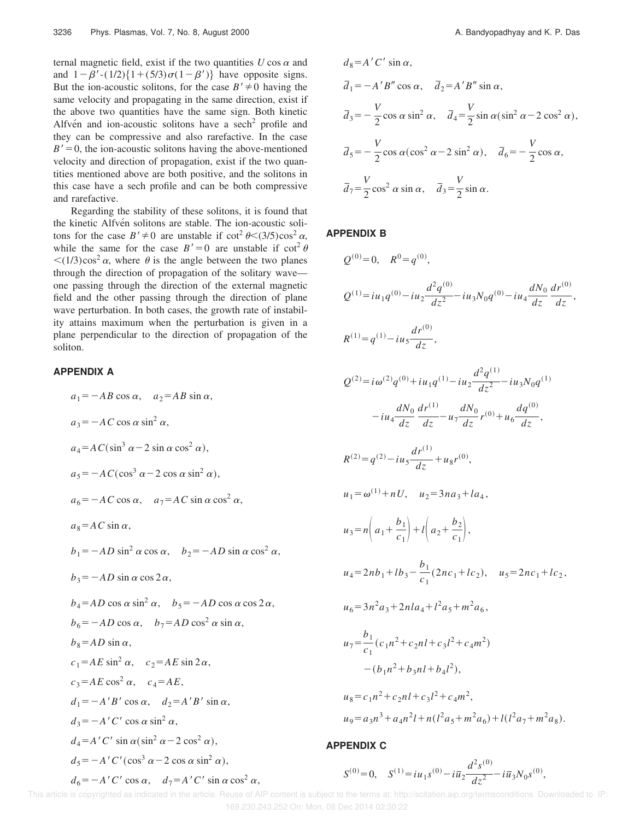ternal magnetic field, exist if the two quantities  $U \cos \alpha$  and and  $1-\beta'$ -(1/2) $\{1+(5/3)\sigma(1-\beta')\}$  have opposite signs. But the ion-acoustic solitons, for the case  $B' \neq 0$  having the same velocity and propagating in the same direction, exist if the above two quantities have the same sign. Both kinetic Alfvén and ion-acoustic solitons have a sech<sup>2</sup> profile and they can be compressive and also rarefactive. In the case  $B' = 0$ , the ion-acoustic solitons having the above-mentioned velocity and direction of propagation, exist if the two quantities mentioned above are both positive, and the solitons in this case have a sech profile and can be both compressive and rarefactive.

Regarding the stability of these solitons, it is found that the kinetic Alfvén solitons are stable. The ion-acoustic solitons for the case  $B' \neq 0$  are unstable if  $\cot^2 \theta \leq (3/5) \cos^2 \alpha$ , while the same for the case  $B' = 0$  are unstable if  $\cot^2 \theta$  $\langle (1/3)\cos^2 \alpha$ , where  $\theta$  is the angle between the two planes through the direction of propagation of the solitary wave one passing through the direction of the external magnetic field and the other passing through the direction of plane wave perturbation. In both cases, the growth rate of instability attains maximum when the perturbation is given in a plane perpendicular to the direction of propagation of the soliton.

# **APPENDIX A**

$$
a_1 = -AB \cos \alpha, \quad a_2 = AB \sin \alpha,
$$
  
\n
$$
a_3 = -AC \cos \alpha \sin^2 \alpha,
$$
  
\n
$$
a_4 = AC(\sin^3 \alpha - 2 \sin \alpha \cos^2 \alpha),
$$
  
\n
$$
a_5 = -AC(\cos^3 \alpha - 2 \cos \alpha \sin^2 \alpha),
$$
  
\n
$$
a_6 = -AC \cos \alpha, \quad a_7 = AC \sin \alpha \cos^2 \alpha,
$$
  
\n
$$
a_8 = AC \sin \alpha,
$$
  
\n
$$
b_1 = -AD \sin^2 \alpha \cos \alpha, \quad b_2 = -AD \sin \alpha \cos^2 \alpha,
$$
  
\n
$$
b_3 = -AD \sin \alpha \cos 2\alpha,
$$
  
\n
$$
b_4 = AD \cos \alpha \sin^2 \alpha, \quad b_5 = -AD \cos \alpha \cos 2\alpha,
$$
  
\n
$$
b_6 = -AD \cos \alpha, \quad b_7 = AD \cos^2 \alpha \sin \alpha,
$$
  
\n
$$
b_8 = AD \sin \alpha,
$$
  
\n
$$
c_1 = AE \sin^2 \alpha, \quad c_2 = AE \sin 2\alpha,
$$
  
\n
$$
c_3 = AE \cos^2 \alpha, \quad c_4 = AE,
$$
  
\n
$$
d_1 = -A'B' \cos \alpha, \quad d_2 = A'B' \sin \alpha,
$$
  
\n
$$
d_3 = -A'C' \cos \alpha \sin^2 \alpha,
$$
  
\n
$$
d_4 = A'C' \sin \alpha (\sin^2 \alpha - 2 \cos^2 \alpha),
$$
  
\n
$$
d_5 = -A'C' (\cos^3 \alpha - 2 \cos \alpha \sin^2 \alpha),
$$
  
\n
$$
d_6 = -A'C' \cos \alpha, \quad d_7 = A'C' \sin \alpha \cos^2 \alpha,
$$

$$
d_8 = A'C' \sin \alpha,
$$
  
\n
$$
\overline{d}_1 = -A'B'' \cos \alpha, \quad \overline{d}_2 = A'B'' \sin \alpha,
$$
  
\n
$$
\overline{d}_3 = -\frac{V}{2} \cos \alpha \sin^2 \alpha, \quad \overline{d}_4 = \frac{V}{2} \sin \alpha (\sin^2 \alpha - 2 \cos^2 \alpha),
$$
  
\n
$$
\overline{d}_5 = -\frac{V}{2} \cos \alpha (\cos^2 \alpha - 2 \sin^2 \alpha), \quad \overline{d}_6 = -\frac{V}{2} \cos \alpha,
$$
  
\n
$$
\overline{d}_7 = \frac{V}{2} \cos^2 \alpha \sin \alpha, \quad \overline{d}_3 = \frac{V}{2} \sin \alpha.
$$

# **APPENDIX B**

$$
Q^{(0)} = 0, \quad R^{0} = q^{(0)},
$$
\n
$$
Q^{(1)} = iu_1q^{(0)} - iu_2\frac{d^2q^{(0)}}{dz^2} - iu_3N_0q^{(0)} - iu_4\frac{dN_0}{dz}\frac{dr^{(0)}}{dz},
$$
\n
$$
R^{(1)} = q^{(1)} - iu_5\frac{dr^{(0)}}{dz},
$$
\n
$$
Q^{(2)} = i\omega^{(2)}q^{(0)} + iu_1q^{(1)} - iu_2\frac{d^2q^{(1)}}{dz^2} - iu_3N_0q^{(1)}
$$
\n
$$
-iu_4\frac{dN_0}{dz}\frac{dr^{(1)}}{dz} - u_7\frac{dN_0}{dz}r^{(0)} + u_6\frac{dq^{(0)}}{dz},
$$
\n
$$
R^{(2)} = q^{(2)} - iu_5\frac{dr^{(1)}}{dz} + u_8r^{(0)},
$$
\n
$$
u_1 = \omega^{(1)} + nU, \quad u_2 = 3na_3 + la_4,
$$
\n
$$
u_3 = n\left(a_1 + \frac{b_1}{c_1}\right) + i\left(a_2 + \frac{b_2}{c_1}\right),
$$
\n
$$
u_4 = 2nb_1 + lb_3 - \frac{b_1}{c_1}(2nc_1 + lc_2), \quad u_5 = 2nc_1 + lc_2,
$$
\n
$$
u_6 = 3n^2a_3 + 2nla_4 + l^2a_5 + m^2a_6,
$$
\n
$$
u_7 = \frac{b_1}{c_1}(c_1n^2 + c_2nl + c_3l^2 + c_4m^2),
$$
\n
$$
u_8 = c_1n^2 + c_2nl + c_3l^2 + c_4m^2,
$$
\n
$$
u_9 = a_3n^3 + a_4n^2l + n(l^2a_5 + m^2a_6) + l(l^2a_7 + m^2a_8).
$$

## **APPENDIX C**

$$
S^{(0)} = 0, \quad S^{(1)} = i u_1 s^{(0)} - i \overline{u}_2 \frac{d^2 s^{(0)}}{dz^2} - i \overline{u}_3 N_0 s^{(0)},
$$